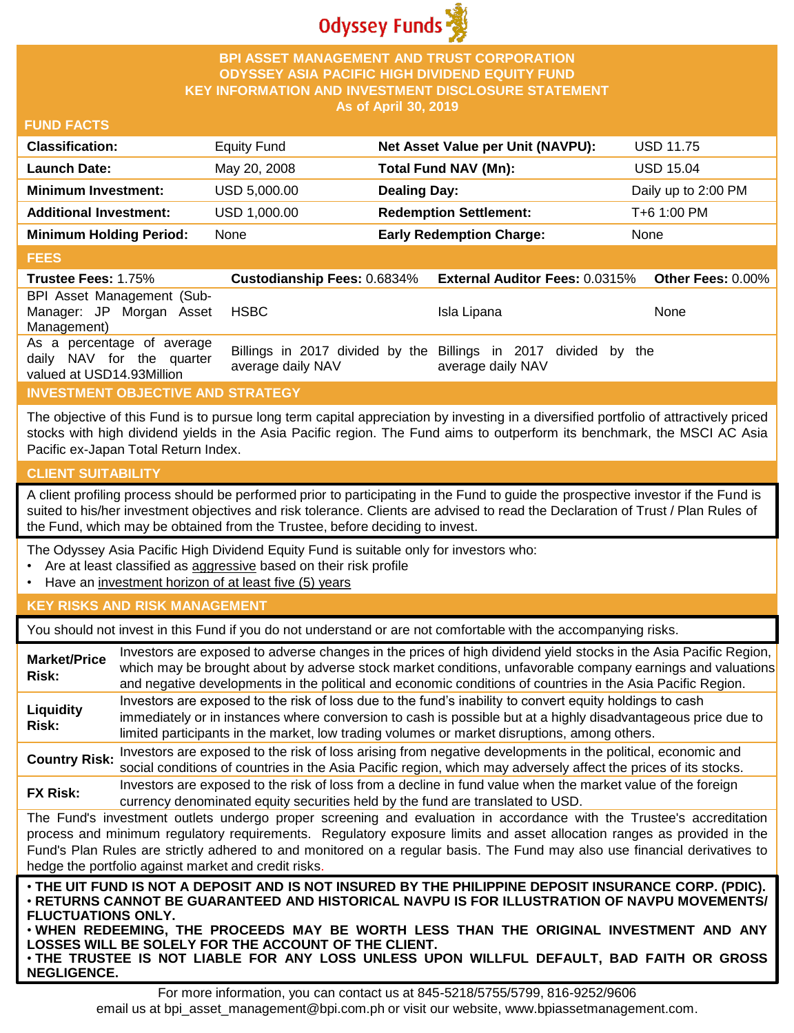

## **BPI ASSET MANAGEMENT AND TRUST CORPORATION ODYSSEY ASIA PACIFIC HIGH DIVIDEND EQUITY FUND KEY INFORMATION AND INVESTMENT DISCLOSURE STATEMENT As of April 30, 2019**

### **FUND FACTS**

| <b>Classification:</b>         | <b>Equity Fund</b> | Net Asset Value per Unit (NAVPU): | <b>USD 11.75</b>    |
|--------------------------------|--------------------|-----------------------------------|---------------------|
| <b>Launch Date:</b>            | May 20, 2008       | Total Fund NAV (Mn):              | <b>USD 15.04</b>    |
| <b>Minimum Investment:</b>     | USD 5,000.00       | <b>Dealing Day:</b>               | Daily up to 2:00 PM |
| <b>Additional Investment:</b>  | USD 1,000.00       | <b>Redemption Settlement:</b>     | T+6 1:00 PM         |
| <b>Minimum Holding Period:</b> | None               | <b>Early Redemption Charge:</b>   | None                |

#### **FEES**

| <b>Trustee Fees: 1.75%</b>                                                           |                   | Custodianship Fees: 0.6834% External Auditor Fees: 0.0315%                           | <b>Other Fees: 0.00%</b> |
|--------------------------------------------------------------------------------------|-------------------|--------------------------------------------------------------------------------------|--------------------------|
| BPI Asset Management (Sub-<br>Manager: JP Morgan Asset                               | <b>HSBC</b>       | Isla Lipana                                                                          | <b>None</b>              |
| Management)                                                                          |                   |                                                                                      |                          |
| As a percentage of average<br>daily NAV for the quarter<br>valued at USD14.93Million | average daily NAV | Billings in 2017 divided by the Billings in 2017 divided by the<br>average daily NAV |                          |

# **INVESTMENT OBJECTIVE AND STRATEGY**

The objective of this Fund is to pursue long term capital appreciation by investing in a diversified portfolio of attractively priced stocks with high dividend yields in the Asia Pacific region. The Fund aims to outperform its benchmark, the MSCI AC Asia Pacific ex-Japan Total Return Index.

# **CLIENT SUITABILITY**

**NEGLIGENCE.**

A client profiling process should be performed prior to participating in the Fund to guide the prospective investor if the Fund is suited to his/her investment objectives and risk tolerance. Clients are advised to read the Declaration of Trust / Plan Rules of the Fund, which may be obtained from the Trustee, before deciding to invest.

The Odyssey Asia Pacific High Dividend Equity Fund is suitable only for investors who:

- Are at least classified as aggressive based on their risk profile
- Have an investment horizon of at least five (5) years

# **KEY RISKS AND RISK MANAGEMENT**

You should not invest in this Fund if you do not understand or are not comfortable with the accompanying risks.

| <b>Market/Price</b><br>Risk:                                                                                                                                                                                                                                                                                                                                                                                                                                                 | Investors are exposed to adverse changes in the prices of high dividend yield stocks in the Asia Pacific Region,<br>which may be brought about by adverse stock market conditions, unfavorable company earnings and valuations<br>and negative developments in the political and economic conditions of countries in the Asia Pacific Region. |  |
|------------------------------------------------------------------------------------------------------------------------------------------------------------------------------------------------------------------------------------------------------------------------------------------------------------------------------------------------------------------------------------------------------------------------------------------------------------------------------|-----------------------------------------------------------------------------------------------------------------------------------------------------------------------------------------------------------------------------------------------------------------------------------------------------------------------------------------------|--|
| Liquidity<br>Risk:                                                                                                                                                                                                                                                                                                                                                                                                                                                           | Investors are exposed to the risk of loss due to the fund's inability to convert equity holdings to cash<br>immediately or in instances where conversion to cash is possible but at a highly disadvantageous price due to<br>limited participants in the market, low trading volumes or market disruptions, among others.                     |  |
| <b>Country Risk:</b>                                                                                                                                                                                                                                                                                                                                                                                                                                                         | Investors are exposed to the risk of loss arising from negative developments in the political, economic and<br>social conditions of countries in the Asia Pacific region, which may adversely affect the prices of its stocks.                                                                                                                |  |
| <b>FX Risk:</b>                                                                                                                                                                                                                                                                                                                                                                                                                                                              | Investors are exposed to the risk of loss from a decline in fund value when the market value of the foreign<br>currency denominated equity securities held by the fund are translated to USD.                                                                                                                                                 |  |
| The Fund's investment outlets undergo proper screening and evaluation in accordance with the Trustee's accreditation<br>process and minimum regulatory requirements. Regulatory exposure limits and asset allocation ranges as provided in the<br>Fund's Plan Rules are strictly adhered to and monitored on a regular basis. The Fund may also use financial derivatives to<br>hedge the portfolio against market and credit risks.                                         |                                                                                                                                                                                                                                                                                                                                               |  |
| . THE UIT FUND IS NOT A DEPOSIT AND IS NOT INSURED BY THE PHILIPPINE DEPOSIT INSURANCE CORP. (PDIC).<br>⋅RETURNS CANNOT BE GUARANTEED AND HISTORICAL NAVPU IS FOR ILLUSTRATION OF NAVPU MOVEMENTS/<br><b>FLUCTUATIONS ONLY.</b><br>. WHEN REDEEMING, THE PROCEEDS MAY BE WORTH LESS THAN THE ORIGINAL INVESTMENT AND ANY<br>LOSSES WILL BE SOLELY FOR THE ACCOUNT OF THE CLIENT.<br>. THE TRUSTEE IS NOT LIABLE FOR ANY LOSS UNLESS UPON WILLFUL DEFAULT, BAD FAITH OR GROSS |                                                                                                                                                                                                                                                                                                                                               |  |

For more information, you can contact us at 845-5218/5755/5799, 816-9252/9606 email us at bpi\_asset\_management@bpi.com.ph or visit our website, www.bpiassetmanagement.com.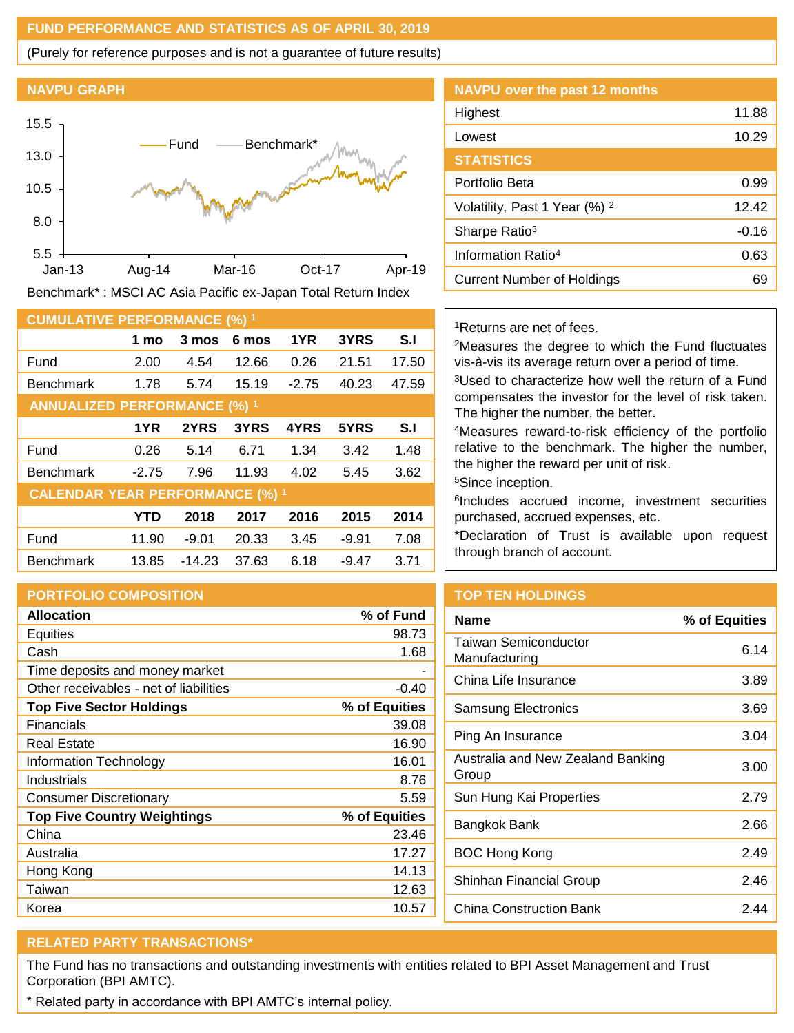## **FUND PERFORMANCE AND STATISTICS AS OF APRIL 30, 2019**

(Purely for reference purposes and is not a guarantee of future results)

#### **NAVPU GRAPH**



Benchmark\* : MSCI AC Asia Pacific ex-Japan Total Return Index

| <b>CUMULATIVE PERFORMANCE (%) 1</b>    |            |          |       |         |         |       |
|----------------------------------------|------------|----------|-------|---------|---------|-------|
|                                        | 1 mo       | 3 mos    | 6 mos | 1YR     | 3YRS    | S.I   |
| Fund                                   | 2.00       | 4.54     | 12.66 | 0.26    | 21.51   | 17.50 |
| <b>Benchmark</b>                       | 1.78       | 5.74     | 15.19 | $-2.75$ | 40.23   | 47.59 |
| <b>ANNUALIZED PERFORMANCE (%) 1</b>    |            |          |       |         |         |       |
|                                        | 1YR        | 2YRS     | 3YRS  | 4YRS    | 5YRS    | S.I   |
| Fund                                   | 0.26       | 5.14     | 6.71  | 1.34    | 3.42    | 1.48  |
| <b>Benchmark</b>                       | $-2.75$    | 7.96     | 11.93 | 4.02    | 5.45    | 3.62  |
| <b>CALENDAR YEAR PERFORMANCE (%) 1</b> |            |          |       |         |         |       |
|                                        | <b>YTD</b> | 2018     | 2017  | 2016    | 2015    | 2014  |
| Fund                                   | 11.90      | $-9.01$  | 20.33 | 3.45    | $-9.91$ | 7.08  |
| <b>Benchmark</b>                       | 13.85      | $-14.23$ | 37.63 | 6.18    | $-9.47$ | 3.71  |

# **PORTFOLIO COMPOSITION**

| <b>Allocation</b>                      | % of Fund     |
|----------------------------------------|---------------|
| <b>Equities</b>                        | 98.73         |
| Cash                                   | 1.68          |
| Time deposits and money market         |               |
| Other receivables - net of liabilities | $-0.40$       |
| <b>Top Five Sector Holdings</b>        | % of Equities |
| Financials                             | 39.08         |
| Real Estate                            | 16.90         |
| Information Technology                 | 16.01         |
| Industrials                            | 8.76          |
| <b>Consumer Discretionary</b>          | 5.59          |
| <b>Top Five Country Weightings</b>     | % of Equities |
| China                                  | 23.46         |
| Australia                              | 17.27         |
| Hong Kong                              | 14.13         |
| Taiwan                                 | 12.63         |
| Korea                                  | 10.57         |

| <b>NAVPU over the past 12 months</b>     |       |
|------------------------------------------|-------|
| Highest                                  | 11.88 |
| Lowest                                   | 10.29 |
| <b>STATISTICS</b>                        |       |
| Portfolio Beta                           | 0.99  |
| Volatility, Past 1 Year (%) <sup>2</sup> | 12.42 |
| Sharpe Ratio <sup>3</sup>                | -0.16 |
| Information Ratio <sup>4</sup>           | 0.63  |
| Current Number of Holdings               | 69    |

### <sup>1</sup>Returns are net of fees.

<sup>2</sup>Measures the degree to which the Fund fluctuates vis-à-vis its average return over a period of time.

<sup>3</sup>Used to characterize how well the return of a Fund compensates the investor for the level of risk taken. The higher the number, the better.

<sup>4</sup>Measures reward-to-risk efficiency of the portfolio relative to the benchmark. The higher the number, the higher the reward per unit of risk.

<sup>5</sup>Since inception.

6 Includes accrued income, investment securities purchased, accrued expenses, etc.

\*Declaration of Trust is available upon request through branch of account.

# **TOP TEN HOLDINGS**

| % of Equities |
|---------------|
| 6.14          |
| 3.89          |
| 3.69          |
| 3.04          |
| 3.00          |
| 2.79          |
| 2.66          |
| 2.49          |
| 2.46          |
| 2 44          |
|               |

# **RELATED PARTY TRANSACTIONS\***

The Fund has no transactions and outstanding investments with entities related to BPI Asset Management and Trust Corporation (BPI AMTC).

\* Related party in accordance with BPI AMTC's internal policy.